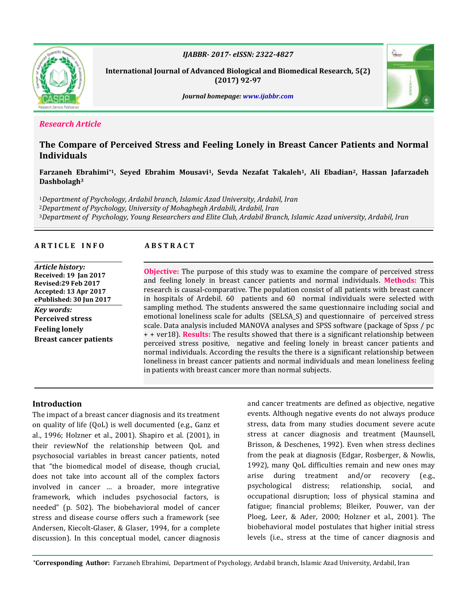

*IJABBR- 2017- eISSN: 2322-4827*

**International Journal of Advanced Biological and Biomedical Research***,* **5(2) (2017) 92-97**



*Journal homepage: www.ijabbr.com*

## *Research Article*

# **The Compare of Perceived Stress and Feeling Lonely in Breast Cancer Patients and Normal Individuals**

## **Farzaneh Ebrahimi\*1, Seyed Ebrahim Mousavi1, Sevda Nezafat Takaleh1, Ali Ebadian2, Hassan Jafarzadeh Dashbolagh<sup>3</sup>**

<sup>1</sup>*Department of Psychology, Ardabil branch, Islamic Azad University, Ardabil, Iran* <sup>2</sup>*Department of Psychology, University of Mohaghegh Ardabili, Ardabil, Iran* <sup>3</sup>*Department of Psychology, Young Researchers and Elite Club, Ardabil Branch, Islamic Azad university, Ardabil, Iran*

## **A R T I C L E I N F O A B S T R A C T**

*Article history:* **Received: 19 Jan 2017 Revised:29 Feb 2017 Accepted: 13 Apr 2017 ePublished: 30 Jun 2017** *Key words:* **Perceived stress Feeling lonely Breast cancer patients**

**Objective:** The purpose of this study was to examine the compare of perceived stress and feeling lonely in breast cancer patients and normal individuals. **Methods:** This research is causal-comparative. The population consist of all patients with breast cancer in hospitals of Ardebil. 60 patients and 60 normal individuals were selected with sampling method. The students answered the same questionnaire including social and emotional loneliness scale for adults (SELSA\_S) and questionnaire of perceived stress scale. Data analysis included MANOVA analyses and SPSS software (package of Spss / pc + + ver18). **Results:** The results showed that there is a significant relationship between perceived stress positive, negative and feeling lonely in breast cancer patients and normal individuals. According the results the there is a significant relationship between loneliness in breast cancer patients and normal individuals and mean loneliness feeling in patients with breast cancer more than normal subjects.

## **Introduction**

The impact of a breast cancer diagnosis and its treatment on quality of life (QoL) is well documented (e.g., Ganz et al., 1996; Holzner et al., 2001). Shapiro et al. (2001), in their reviewNof the relationship between QoL and psychosocial variables in breast cancer patients, noted that "the biomedical model of disease, though crucial, does not take into account all of the complex factors involved in cancer … a broader, more integrative framework, which includes psychosocial factors, is needed" (p. 502). The biobehavioral model of cancer stress and disease course offers such a framework (see Andersen, Kiecolt-Glaser, & Glaser, 1994, for a complete discussion). In this conceptual model, cancer diagnosis and cancer treatments are defined as objective, negative events. Although negative events do not always produce stress, data from many studies document severe acute stress at cancer diagnosis and treatment (Maunsell, Brisson, & Deschenes, 1992). Even when stress declines from the peak at diagnosis (Edgar, Rosberger, & Nowlis, 1992), many QoL difficulties remain and new ones may arise during treatment and/or recovery (e.g., psychological distress; relationship, social, and occupational disruption; loss of physical stamina and fatigue; financial problems; Bleiker, Pouwer, van der Ploeg, Leer, & Ader, 2000; Holzner et al., 2001). The biobehavioral model postulates that higher initial stress levels (i.e., stress at the time of cancer diagnosis and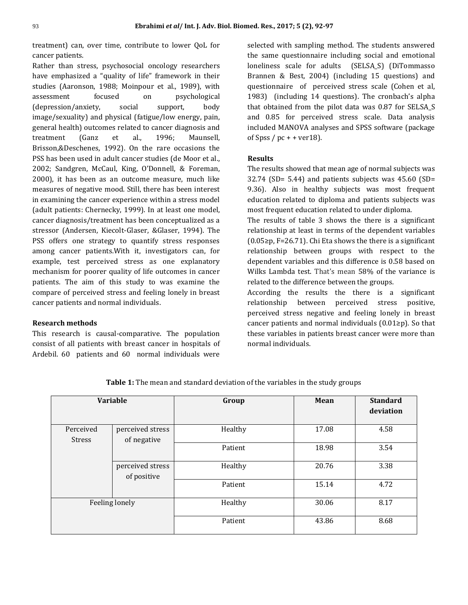treatment) can, over time, contribute to lower QoL for cancer patients.

Rather than stress, psychosocial oncology researchers have emphasized a "quality of life" framework in their studies (Aaronson, 1988; Moinpour et al., 1989), with assessment focused on psychological (depression/anxiety, social support, body image/sexuality) and physical (fatigue/low energy, pain, general health) outcomes related to cancer diagnosis and treatment (Ganz et al., 1996; Maunsell, Brisson,&Deschenes, 1992). On the rare occasions the PSS has been used in adult cancer studies (de Moor et al., 2002; Sandgren, McCaul, King, O'Donnell, & Foreman, 2000), it has been as an outcome measure, much like measures of negative mood. Still, there has been interest in examining the cancer experience within a stress model (adult patients: Chernecky, 1999). In at least one model, cancer diagnosis/treatment has been conceptualized as a stressor (Andersen, Kiecolt-Glaser, &Glaser, 1994). The PSS offers one strategy to quantify stress responses among cancer patients.With it, investigators can, for example, test perceived stress as one explanatory mechanism for poorer quality of life outcomes in cancer patients. The aim of this study to was examine the compare of perceived stress and feeling lonely in breast cancer patients and normal individuals.

#### **Research methods**

This research is causal-comparative. The population consist of all patients with breast cancer in hospitals of Ardebil. 60 patients and 60 normal individuals were

selected with sampling method. The students answered the same questionnaire including social and emotional loneliness scale for adults (SELSA\_S) (DiTommasso Brannen & Best, 2004) (including 15 questions) and questionnaire of perceived stress scale (Cohen et al, 1983) (including 14 questions). The cronbach's alpha that obtained from the pilot data was 0.87 for SELSA\_S and 0.85 for perceived stress scale. Data analysis included MANOVA analyses and SPSS software (package of Spss  $/ pc + + ver18$ .

#### **Results**

The results showed that mean age of normal subjects was  $32.74$  (SD= 5.44) and patients subjects was 45.60 (SD= 9.36). Also in healthy subjects was most frequent education related to diploma and patients subjects was most frequent education related to under diploma.

The results of table 3 shows the there is a significant relationship at least in terms of the dependent variables (0.05≥p, F=26.71). Chi Eta shows the there is a significant relationship between groups with respect to the dependent variables and this difference is 0.58 based on Wilks Lambda test. That's mean 58% of the variance is related to the difference between the groups.

According the results the there is a significant relationship between perceived stress positive, perceived stress negative and feeling lonely in breast cancer patients and normal individuals (0.01≥p). So that these variables in patients breast cancer were more than normal individuals.

| <b>Variable</b> |                                 | Group   | Mean  | <b>Standard</b><br>deviation |
|-----------------|---------------------------------|---------|-------|------------------------------|
| Perceived       | perceived stress                | Healthy | 17.08 | 4.58                         |
| <b>Stress</b>   | of negative                     |         |       |                              |
|                 |                                 | Patient | 18.98 | 3.54                         |
|                 | perceived stress<br>of positive | Healthy | 20.76 | 3.38                         |
|                 |                                 | Patient | 15.14 | 4.72                         |
| Feeling lonely  |                                 | Healthy | 30.06 | 8.17                         |
|                 |                                 | Patient | 43.86 | 8.68                         |

**Table 1:** The mean and standard deviation of the variables in the study groups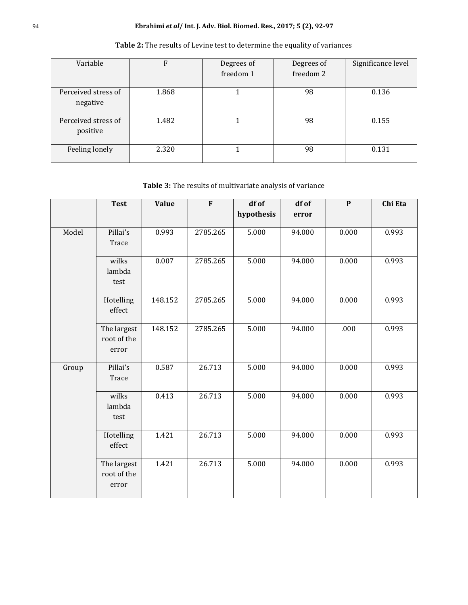## 94 **Ebrahimi** *et al***/ Int. J. Adv. Biol. Biomed. Res., 2017; 5 (2), 92-97**

| Variable                        | F     | Degrees of<br>freedom 1 | Degrees of<br>freedom 2 | Significance level |
|---------------------------------|-------|-------------------------|-------------------------|--------------------|
| Perceived stress of<br>negative | 1.868 |                         | 98                      | 0.136              |
| Perceived stress of<br>positive | 1.482 |                         | 98                      | 0.155              |
| Feeling lonely                  | 2.320 |                         | 98                      | 0.131              |

# **Table 2:** The results of Levine test to determine the equality of variances

**Table 3:** The results of multivariate analysis of variance

|       | <b>Test</b> | <b>Value</b> | F        | df of<br>hypothesis | df of<br>error | $\mathbf{P}$ | Chi Eta |
|-------|-------------|--------------|----------|---------------------|----------------|--------------|---------|
|       |             |              |          |                     |                |              |         |
| Model | Pillai's    | 0.993        | 2785.265 | 5.000               | 94.000         | 0.000        | 0.993   |
|       | Trace       |              |          |                     |                |              |         |
|       | wilks       | 0.007        | 2785.265 | 5.000               | 94.000         | 0.000        | 0.993   |
|       | lambda      |              |          |                     |                |              |         |
|       | test        |              |          |                     |                |              |         |
|       | Hotelling   | 148.152      | 2785.265 | 5.000               | 94.000         | 0.000        | 0.993   |
|       | effect      |              |          |                     |                |              |         |
|       | The largest | 148.152      | 2785.265 | 5.000               | 94.000         | .000         | 0.993   |
|       | root of the |              |          |                     |                |              |         |
|       | error       |              |          |                     |                |              |         |
| Group | Pillai's    | 0.587        | 26.713   | 5.000               | 94.000         | 0.000        | 0.993   |
|       | Trace       |              |          |                     |                |              |         |
|       | wilks       | 0.413        | 26.713   | 5.000               | 94.000         | 0.000        | 0.993   |
|       | lambda      |              |          |                     |                |              |         |
|       | test        |              |          |                     |                |              |         |
|       | Hotelling   | 1.421        | 26.713   | 5.000               | 94.000         | 0.000        | 0.993   |
|       | effect      |              |          |                     |                |              |         |
|       | The largest | 1.421        | 26.713   | 5.000               | 94.000         | 0.000        | 0.993   |
|       | root of the |              |          |                     |                |              |         |
|       | error       |              |          |                     |                |              |         |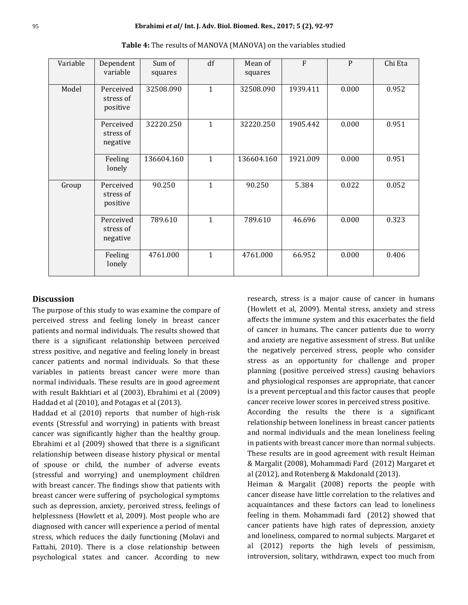| Variable | Dependent<br>variable              | Sum of<br>squares | df           | Mean of<br>squares | F        | P     | Chi Eta |
|----------|------------------------------------|-------------------|--------------|--------------------|----------|-------|---------|
| Model    | Perceived<br>stress of<br>positive | 32508.090         | $\mathbf{1}$ | 32508.090          | 1939.411 | 0.000 | 0.952   |
|          | Perceived<br>stress of<br>negative | 32220.250         | $\mathbf{1}$ | 32220.250          | 1905.442 | 0.000 | 0.951   |
|          | Feeling<br>lonely                  | 136604.160        | $\mathbf{1}$ | 136604.160         | 1921.009 | 0.000 | 0.951   |
| Group    | Perceived<br>stress of<br>positive | 90.250            | $\mathbf{1}$ | 90.250             | 5.384    | 0.022 | 0.052   |
|          | Perceived<br>stress of<br>negative | 789.610           | $\mathbf{1}$ | 789.610            | 46.696   | 0.000 | 0.323   |
|          | Feeling<br>lonely                  | 4761.000          | $\mathbf{1}$ | 4761.000           | 66.952   | 0.000 | 0.406   |

**Table 4:** The results of MANOVA (MANOVA) on the variables studied

#### **Discussion**

The purpose of this study to was examine the compare of perceived stress and feeling lonely in breast cancer patients and normal individuals. The results showed that there is a significant relationship between perceived stress positive, and negative and feeling lonely in breast cancer patients and normal individuals. So that these variables in patients breast cancer were more than normal individuals. These results are in good agreement with result Bakhtiari et al (2003), Ebrahimi et al (2009) Haddad et al (2010), and Potagas et al (2013).

Haddad et al (2010) reports that number of high-risk events (Stressful and worrying) in patients with breast cancer was significantly higher than the healthy group. Ebrahimi et al (2009) showed that there is a significant relationship between disease history physical or mental of spouse or child, the number of adverse events (stressful and worrying) and unemployment children with breast cancer. The findings show that patients with breast cancer were suffering of psychological symptoms such as depression, anxiety, perceived stress, feelings of helplessness (Howlett et al, 2009). Most people who are diagnosed with cancer will experience a period of mental stress, which reduces the daily functioning (Molavi and Fattahi, 2010). There is a close relationship between psychological states and cancer. According to new research, stress is a major cause of cancer in humans (Howlett et al, 2009). Mental stress, anxiety and stress affects the immune system and this exacerbates the field of cancer in humans. The cancer patients due to worry and anxiety are negative assessment of stress. But unlike the negatively perceived stress, people who consider stress as an opportunity for challenge and proper planning (positive perceived stress) causing behaviors and physiological responses are appropriate, that cancer is a prevent perceptual and this factor causes that people cancer receive lower scores in perceived stress positive.

According the results the there is a significant relationship between loneliness in breast cancer patients and normal individuals and the mean loneliness feeling in patients with breast cancer more than normal subjects. These results are in good agreement with result Heiman & Margalit (2008), Mohammadi Fard (2012) Margaret et al (2012), and Rotenberg & Makdonald (2013).

Heiman & Margalit (2008) reports the people with cancer disease have little correlation to the relatives and acquaintances and these factors can lead to loneliness feeling in them. Mohammadi fard (2012) showed that cancer patients have high rates of depression, anxiety and loneliness, compared to normal subjects. Margaret et al (2012) reports the high levels of pessimism, introversion, solitary, withdrawn, expect too much from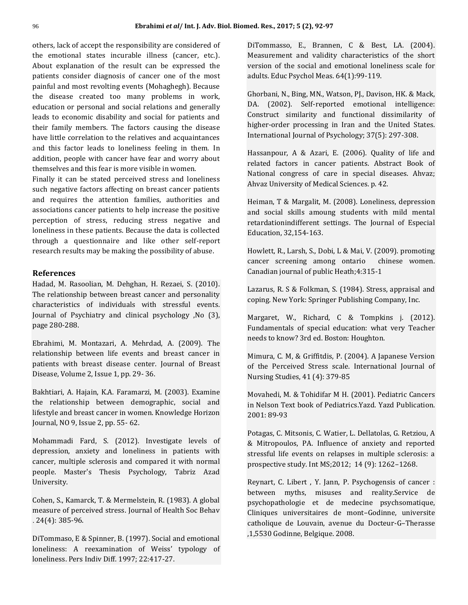others, lack of accept the responsibility are considered of the emotional states incurable illness (cancer, etc.). About explanation of the result can be expressed the patients consider diagnosis of cancer one of the most painful and most revolting events (Mohaghegh). Because the disease created too many problems in work, education or personal and social relations and generally leads to economic disability and social for patients and their family members. The factors causing the disease have little correlation to the relatives and acquaintances and this factor leads to loneliness feeling in them. In addition, people with cancer have fear and worry about themselves and this fear is more visible in women.

Finally it can be stated perceived stress and loneliness such negative factors affecting on breast cancer patients and requires the attention families, authorities and associations cancer patients to help increase the positive perception of stress, reducing stress negative and loneliness in these patients. Because the data is collected through a questionnaire and like other self-report research results may be making the possibility of abuse.

### **References**

Hadad, M. Rasoolian, M. Dehghan, H. Rezaei, S. (2010). The relationship between breast cancer and personality characteristics of individuals with stressful events. Journal of Psychiatry and clinical psychology ,No (3), page 280-288.

Ebrahimi, M. Montazari, A. Mehrdad, A. (2009). The relationship between life events and breast cancer in patients with breast disease center. Journal of Breast Disease, Volume 2, Issue 1, pp. 29- 36.

Bakhtiari, A. Hajain, K.A. Faramarzi, M. (2003). Examine the relationship between demographic, social and lifestyle and breast cancer in women. Knowledge Horizon Journal, NO 9, Issue 2, pp. 55- 62.

Mohammadi Fard, S. (2012). Investigate levels of depression, anxiety and loneliness in patients with cancer, multiple sclerosis and compared it with normal people. Master's Thesis Psychology, Tabriz Azad University.

Cohen, S., Kamarck, T. & Mermelstein, R. (1983). A global measure of perceived stress. Journal of Health Soc Behav . 24(4): 385-96.

DiTommaso, E & Spinner, B. (1997). Social and emotional loneliness: A reexamination of Weiss' typology of loneliness. Pers Indiv Diff. 1997; 22:417-27.

DiTommasso, E., Brannen, C & Best, LA. (2004). Measurement and validity characteristics of the short version of the social and emotional loneliness scale for adults. Educ Psychol Meas. 64(1):99-119.

Ghorbani, N., Bing, MN., Watson, PJ., Davison, HK. & Mack, DA. (2002). Self-reported emotional intelligence: Construct similarity and functional dissimilarity of higher-order processing in Iran and the United States. International Journal of Psychology; 37(5): 297-308.

Hassanpour, A & Azari, E. (2006). Quality of life and related factors in cancer patients. Abstract Book of National congress of care in special diseases. Ahvaz; Ahvaz University of Medical Sciences. p. 42.

Heiman, T & Margalit, M. (2008). Loneliness, depression and social skills amoung students with mild mental retardationindifferent settings. The Journal of Especial Education, 32,154-163.

Howlett, R., Larsh, S., Dobi, L & Mai, V. (2009). promoting cancer screening among ontario chinese women. Canadian journal of public Heath;4:315-1

Lazarus, R. S & Folkman, S. (1984). Stress, appraisal and coping. New York: Springer Publishing Company, Inc.

Margaret, W., Richard, C & Tompkins j. (2012). Fundamentals of special education: what very Teacher needs to know? 3rd ed. Boston: Houghton.

Mimura, C. M, & Griffitdis, P. (2004). A Japanese Version of the Perceived Stress scale. International Journal of Nursing Studies, 41 (4): 379-85

Movahedi, M. & Tohidifar M H. (2001). Pediatric Cancers in Nelson Text book of Pediatrics.Yazd. Yazd Publication. 2001: 89-93

Potagas, C. Mitsonis, C. Watier, L. Dellatolas, G. Retziou, A & Mitropoulos, PA. Influence of anxiety and reported stressful life events on relapses in multiple sclerosis: a prospective study. Int MS;2012; 14 (9): 1262–1268.

Reynart, C. Libert , Y. Jann, P. Psychogensis of cancer : between myths, misuses and reality.Service de psychopathologie et de medecine psychsomatique, Cliniques universitaires de mont–Godinne, universite catholique de Louvain, avenue du Docteur-G–Therasse ,1,5530 Godinne, Belgique. 2008.